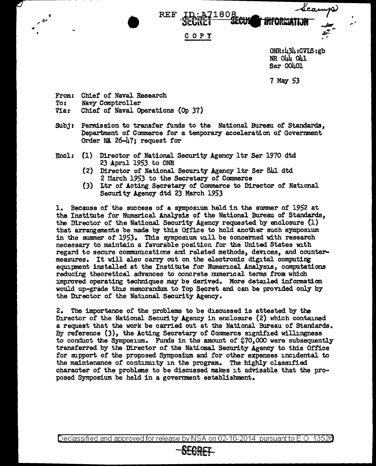Leamp **INFORMATION** 

## COPY

ONR:434:CVIS:gb NR 044 OU Ser 00401

,,. '

7 May 53

From: Chief of Naval Research<br>To: Navy Comptroller To: Navy Comptroller<br>Via: Chief of Naval On Chief of Naval Operations (Op 37)

------------ -- - - -- - - - - -

... • REF

- Subj: Permission to transfer funds to the National Bureau of Standards. Department of Canmerce for a temporary acceleration of Government Order NA 26-47; request for
- Encl: (1) Director of National Security Agency ltr Ser 1970 dtd 23 April 1953 to ONR
	- (2) Director of National Security Agency 1tr Ser 841 dtd 2 March 1953 to the Secretary of Commerce
	- {3) Ltr of Acting Secretary of Cmmnerce to Director of National Security Agency dtd 23 March 1953

1. Because of the success of a symposium held in the summer of 1952 at the Institute for Numerical Analysis of the National Bureau of Standards, the Director of the National Security Agency requested by enclosure {l) that arrangements be made by this Office to hold another such symposium in the summer of 1953. This symposium will be concerned with research necessary to maintain a favorable position for the United States with regard to secure communications and related methods, devices, and countermeasures. It will also carry out on the electronic digital computing equipment installed at the Institute for Numerical Analysis, computations reducing theoretical advances to concrete numerical terms from which improved operating techniques may be derived. More detailed. infozmation would up-grade this memorandum to Top Secret and can be provided only by the Director of the National Security Agency.

2. The importance of the problems to be discussed is attested by the Director of the National Security Agency in enclosure (2) which contained a request that the work be carried out at the National Bureau of Standards. By reference (3), the Acting Secretary of Commerce signified willingness to conduct the Symposiwn. Funds in the amount of *i10,ooo* were subsequently transferred by the Director of the National Security Agency to this Office for support of the proposed Symposium and for other expenses incidental to the maintenance of continuity in the program. The highly classified character of the problems to be discussed makes it advisable that the proposed Symposium be held in a government establishment.